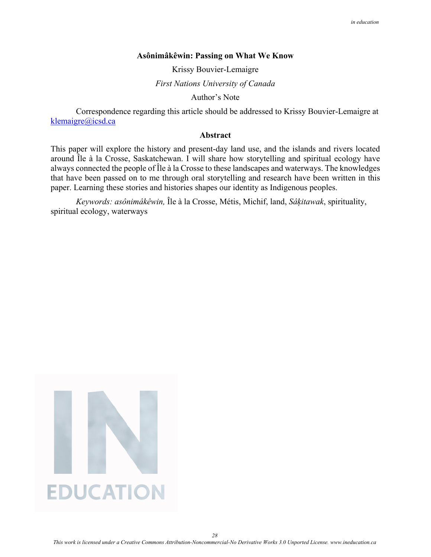### **Asônimâkêwin: Passing on What We Know**

Krissy Bouvier-Lemaigre

*First Nations University of Canada* 

Author's Note

Correspondence regarding this article should be addressed to Krissy Bouvier-Lemaigre at [klemaigre@icsd.ca](mailto:klemaigre@icsd.ca)

## **Abstract**

This paper will explore the history and present-day land use, and the islands and rivers located around Île à la Crosse, Saskatchewan. I will share how storytelling and spiritual ecology have always connected the people of Île à la Crosse to these landscapes and waterways. The knowledges that have been passed on to me through oral storytelling and research have been written in this paper. Learning these stories and histories shapes our identity as Indigenous peoples.

*Keywords: asônimâkêwin,* Île à la Crosse, Métis, Michif, land, *Sâķitawak*, spirituality, spiritual ecology, waterways



*28*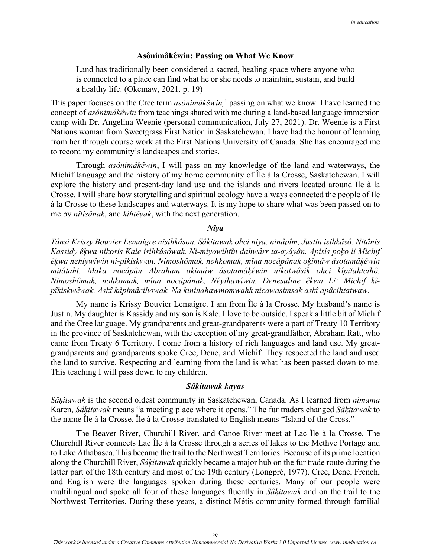### **Asônimâkêwin: Passing on What We Know**

Land has traditionally been considered a sacred, healing space where anyone who is connected to a place can find what he or she needs to maintain, sustain, and build a healthy life. (Okemaw, 2021. p. 19)

This paper focuses on the Cree term *asônimâkêwin*,<sup>1</sup> passing on what we know. I have learned the concept of *asônimâkêwin* from teachings shared with me during a land-based language immersion camp with Dr. Angelina Weenie (personal communication, July 27, 2021). Dr. Weenie is a First Nations woman from Sweetgrass First Nation in Saskatchewan. I have had the honour of learning from her through course work at the First Nations University of Canada. She has encouraged me to record my community's landscapes and stories.

Through *asônimâkêwin*, I will pass on my knowledge of the land and waterways, the Michif language and the history of my home community of Île à la Crosse, Saskatchewan. I will explore the history and present-day land use and the islands and rivers located around Île à la Crosse. I will share how storytelling and spiritual ecology have always connected the people of Île à la Crosse to these landscapes and waterways. It is my hope to share what was been passed on to me by *nîtisânak*, and *kihtêyak*, with the next generation.

## *Nîya*

*Tânsi Krissy Bouvier Lemaigre nisihkâson. Sâķitawak ohci niya. ninâpîm, Justin isihkâsô. Nitânis Kassidy êķwa nikosis Kale isihkâsôwak. Ni-miyowihtîn dahwârr ta-ayâyân. Apisîs poķo li Michif êķwa nehiywîwin ni-pîkiskwan. Nimoshômak, nohkomak, mîna nocâpânak oķimâw âsotamâķêwin mitâtaht. Maķa nocâpân Abraham oķimâw âsotamâķêwin niķotwâsik ohci kîpîtahtcihô. Nimoshômak, nohkomak, mîna nocâpânak, Nêyihawîwin, Denesuline êķwa Li' Michif kîpîkiskwêwak. Askî kâpimâcihowak. Na kininahawmomwahk nicawasimsak askî apâcihtatwaw.* 

My name is Krissy Bouvier Lemaigre. I am from Île à la Crosse. My husband's name is Justin. My daughter is Kassidy and my son is Kale. I love to be outside. I speak a little bit of Michif and the Cree language. My grandparents and great-grandparents were a part of Treaty 10 Territory in the province of Saskatchewan, with the exception of my great-grandfather, Abraham Ratt, who came from Treaty 6 Territory. I come from a history of rich languages and land use. My greatgrandparents and grandparents spoke Cree, Dene, and Michif. They respected the land and used the land to survive. Respecting and learning from the land is what has been passed down to me. This teaching I will pass down to my children.

### *Sâķitawak kayas*

*Sâķitawak* is the second oldest community in Saskatchewan, Canada. As I learned from *nimama* Karen, *Sâķitawak* means "a meeting place where it opens." The fur traders changed *Sâķitawak* to the name Île à la Crosse. Île à la Crosse translated to English means "Island of the Cross."

The Beaver River, Churchill River, and Canoe River meet at Lac Île à la Crosse. The Churchill River connects Lac Île à la Crosse through a series of lakes to the Methye Portage and to Lake Athabasca. This became the trail to the Northwest Territories. Because of its prime location along the Churchill River, *Sâķitawak* quickly became a major hub on the fur trade route during the latter part of the 18th century and most of the 19th century (Longpré, 1977). Cree, Dene, French, and English were the languages spoken during these centuries. Many of our people were multilingual and spoke all four of these languages fluently in *Sâķitawak* and on the trail to the Northwest Territories. During these years, a distinct Métis community formed through familial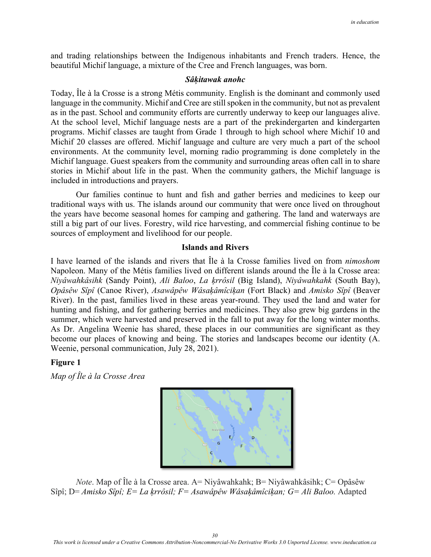and trading relationships between the Indigenous inhabitants and French traders. Hence, the beautiful Michif language, a mixture of the Cree and French languages, was born.

### *Sâķitawak anohc*

Today, Île à la Crosse is a strong Métis community. English is the dominant and commonly used language in the community. Michif and Cree are still spoken in the community, but not as prevalent as in the past. School and community efforts are currently underway to keep our languages alive. At the school level, Michif language nests are a part of the prekindergarten and kindergarten programs. Michif classes are taught from Grade 1 through to high school where Michif 10 and Michif 20 classes are offered. Michif language and culture are very much a part of the school environments. At the community level, morning radio programming is done completely in the Michif language. Guest speakers from the community and surrounding areas often call in to share stories in Michif about life in the past. When the community gathers, the Michif language is included in introductions and prayers.

Our families continue to hunt and fish and gather berries and medicines to keep our traditional ways with us. The islands around our community that were once lived on throughout the years have become seasonal homes for camping and gathering. The land and waterways are still a big part of our lives. Forestry, wild rice harvesting, and commercial fishing continue to be sources of employment and livelihood for our people.

## **Islands and Rivers**

I have learned of the islands and rivers that Île à la Crosse families lived on from *nimoshom* Napoleon. Many of the Métis families lived on different islands around the Île à la Crosse area: *Niyâwahkâsihk* (Sandy Point), *Ali Baloo*, *La ķrrôsil* (Big Island), *Niyâwahkahk* (South Bay), *Opâsêw Sîpî* (Canoe River), *Asawâpêw Wâsaķâmîciķan* (Fort Black) and *Amisko Sîpî* (Beaver River). In the past, families lived in these areas year-round. They used the land and water for hunting and fishing, and for gathering berries and medicines. They also grew big gardens in the summer, which were harvested and preserved in the fall to put away for the long winter months. As Dr. Angelina Weenie has shared, these places in our communities are significant as they become our places of knowing and being. The stories and landscapes become our identity (A. Weenie, personal communication, July 28, 2021).

# **Figure 1**

*Map of Île à la Crosse Area* 



 *Note*. Map of Île à la Crosse area. A= Niyâwahkahk; B= Niyâwahkâsihk; C= Opâsêw Sîpî; D= *Amisko Sîpî; E= La ķrrôsil; F= Asawâpêw Wâsaķâmîciķan; G= Ali Baloo.* Adapted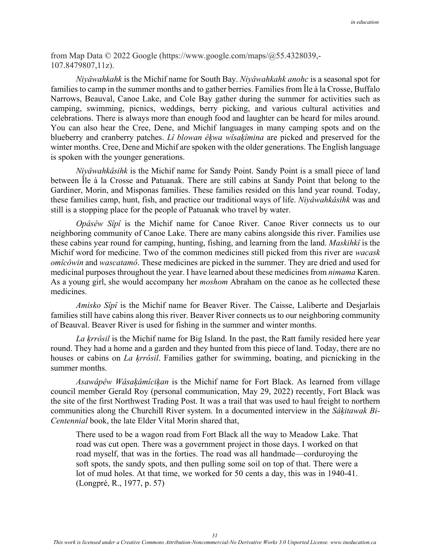from Map Data © 2022 Google [\(https://www.google.com/maps/@55.4328039,-](https://www.google.com/maps/@55.4328039,-107.8479807,11z) [107.8479807,11z\).](https://www.google.com/maps/@55.4328039,-107.8479807,11z)

*Niyâwahkahk* is the Michif name for South Bay. *Niyâwahkahk anohc* is a seasonal spot for families to camp in the summer months and to gather berries. Families from Île à la Crosse, Buffalo Narrows, Beauval, Canoe Lake, and Cole Bay gather during the summer for activities such as camping, swimming, picnics, weddings, berry picking, and various cultural activities and celebrations. There is always more than enough food and laughter can be heard for miles around. You can also hear the Cree, Dene, and Michif languages in many camping spots and on the blueberry and cranberry patches. *Lî blowan êķwa wîsaķîmina* are picked and preserved for the winter months. Cree, Dene and Michif are spoken with the older generations. The English language is spoken with the younger generations.

*Niyâwahkâsihk* is the Michif name for Sandy Point. Sandy Point is a small piece of land between Île à la Crosse and Patuanak. There are still cabins at Sandy Point that belong to the Gardiner, Morin, and Misponas families. These families resided on this land year round. Today, these families camp, hunt, fish, and practice our traditional ways of life. *Niyâwahkâsihk* was and still is a stopping place for the people of Patuanak who travel by water.

*Opâsêw Sîpî* is the Michif name for Canoe River. Canoe River connects us to our neighboring community of Canoe Lake. There are many cabins alongside this river. Families use these cabins year round for camping, hunting, fishing, and learning from the land. *Maskihkî* is the Michif word for medicine. Two of the common medicines still picked from this river are *wacask omîcôwin* and *wascatamô*. These medicines are picked in the summer. They are dried and used for medicinal purposes throughout the year. I have learned about these medicines from *nimama* Karen. As a young girl, she would accompany her *moshom* Abraham on the canoe as he collected these medicines.

*Amisko Sîpî* is the Michif name for Beaver River. The Caisse, Laliberte and Desjarlais families still have cabins along this river. Beaver River connects us to our neighboring community of Beauval. Beaver River is used for fishing in the summer and winter months.

*La ķrrôsil* is the Michif name for Big Island. In the past, the Ratt family resided here year round. They had a home and a garden and they hunted from this piece of land. Today, there are no houses or cabins on *La ķrrôsil*. Families gather for swimming, boating, and picnicking in the summer months.

*Asawâpêw Wâsaķâmîciķan* is the Michif name for Fort Black. As learned from village council member Gerald Roy (personal communication, May 29, 2022) recently, Fort Black was the site of the first Northwest Trading Post. It was a trail that was used to haul freight to northern communities along the Churchill River system. In a documented interview in the *Sâķitawak Bi-Centennial* book, the late Elder Vital Morin shared that,

There used to be a wagon road from Fort Black all the way to Meadow Lake. That road was cut open. There was a government project in those days. I worked on that road myself, that was in the forties. The road was all handmade—corduroying the soft spots, the sandy spots, and then pulling some soil on top of that. There were a lot of mud holes. At that time, we worked for 50 cents a day, this was in 1940-41. (Longpré, R., 1977, p. 57)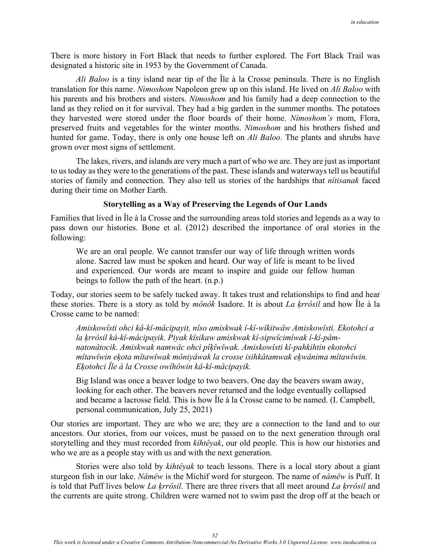There is more history in Fort Black that needs to further explored. The Fort Black Trail was designated a historic site in 1953 by the Government of Canada.

*Ali Baloo* is a tiny island near tip of the Île à la Crosse peninsula. There is no English translation for this name. *Nimoshom* Napoleon grew up on this island. He lived on *Ali Baloo* with his parents and his brothers and sisters. *Nimoshom* and his family had a deep connection to the land as they relied on it for survival. They had a big garden in the summer months. The potatoes they harvested were stored under the floor boards of their home. *Nimoshom's* mom, Flora, preserved fruits and vegetables for the winter months. *Nimoshom* and his brothers fished and hunted for game. Today, there is only one house left on *Ali Baloo*. The plants and shrubs have grown over most signs of settlement.

The lakes, rivers, and islands are very much a part of who we are. They are just as important to us today as they were to the generations of the past. These islands and waterways tell us beautiful stories of family and connection. They also tell us stories of the hardships that *nîtisanak* faced during their time on Mother Earth.

# **Storytelling as a Way of Preserving the Legends of Our Lands**

Families that lived in Île à la Crosse and the surrounding areas told stories and legends as a way to pass down our histories. Bone et al. (2012) described the importance of oral stories in the following:

We are an oral people. We cannot transfer our way of life through written words alone. Sacred law must be spoken and heard. Our way of life is meant to be lived and experienced. Our words are meant to inspire and guide our fellow human beings to follow the path of the heart. (n.p.)

Today, our stories seem to be safely tucked away. It takes trust and relationships to find and hear these stories. There is a story as told by *mônôk* Isadore. It is about *La ķrrôsil* and how Île à la Crosse came to be named:

*Amiskowîsti ohci kâ-kî-mâcipayit, nîso amiskwak î-kî-wîkitwâw Amiskowîsti. Ekotohci a la ķrrôsil kâ-kî-mâcipayik. Piyak kîsikaw amiskwak kî-sipwîcimîwak î-kî-pâmnatonâtocik. Amiskwak namwâc ohci pîķîwîwak. Amiskowîsti kî-pahkihtin ekotohci mîtawîwin eķota mîtawîwak môniyâwak la crosse isihkâtamwak eķwânima mîtawîwin. Eķotohci Île à la Crosse owîhôwin kâ-kî-mâcipayik.* 

Big Island was once a beaver lodge to two beavers. One day the beavers swam away, looking for each other. The beavers never returned and the lodge eventually collapsed and became a lacrosse field. This is how Île à la Crosse came to be named. (I. Campbell, personal communication, July 25, 2021)

Our stories are important. They are who we are; they are a connection to the land and to our ancestors. Our stories, from our voices, must be passed on to the next generation through oral storytelling and they must recorded from *kihtêyak*, our old people. This is how our histories and who we are as a people stay with us and with the next generation.

 Stories were also told by *kihtêyak* to teach lessons. There is a local story about a giant sturgeon fish in our lake. *Nâmêw* is the Michif word for sturgeon. The name of *nâmêw* is Puff. It is told that Puff lives below *La ķrrôsil*. There are three rivers that all meet around *La ķrrôsil* and the currents are quite strong. Children were warned not to swim past the drop off at the beach or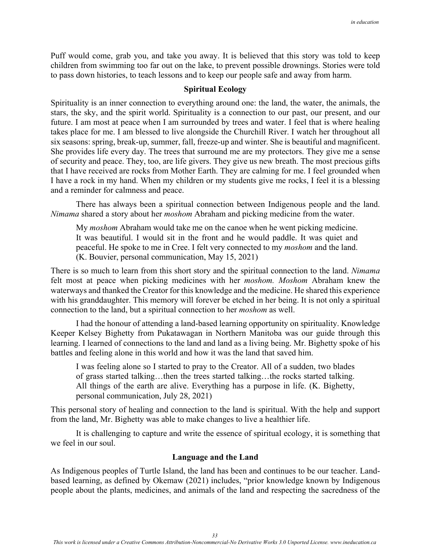Puff would come, grab you, and take you away. It is believed that this story was told to keep children from swimming too far out on the lake, to prevent possible drownings. Stories were told to pass down histories, to teach lessons and to keep our people safe and away from harm.

# **Spiritual Ecology**

Spirituality is an inner connection to everything around one: the land, the water, the animals, the stars, the sky, and the spirit world. Spirituality is a connection to our past, our present, and our future. I am most at peace when I am surrounded by trees and water. I feel that is where healing takes place for me. I am blessed to live alongside the Churchill River. I watch her throughout all six seasons: spring, break-up, summer, fall, freeze-up and winter. She is beautiful and magnificent. She provides life every day. The trees that surround me are my protectors. They give me a sense of security and peace. They, too, are life givers. They give us new breath. The most precious gifts that I have received are rocks from Mother Earth. They are calming for me. I feel grounded when I have a rock in my hand. When my children or my students give me rocks, I feel it is a blessing and a reminder for calmness and peace.

There has always been a spiritual connection between Indigenous people and the land. *Nimama* shared a story about her *moshom* Abraham and picking medicine from the water.

My *moshom* Abraham would take me on the canoe when he went picking medicine. It was beautiful. I would sit in the front and he would paddle. It was quiet and peaceful. He spoke to me in Cree. I felt very connected to my *moshom* and the land. (K. Bouvier, personal communication, May 15, 2021)

There is so much to learn from this short story and the spiritual connection to the land. *Nimama* felt most at peace when picking medicines with her *moshom. Moshom* Abraham knew the waterways and thanked the Creator for this knowledge and the medicine. He shared this experience with his granddaughter. This memory will forever be etched in her being. It is not only a spiritual connection to the land, but a spiritual connection to her *moshom* as well.

I had the honour of attending a land-based learning opportunity on spirituality. Knowledge Keeper Kelsey Bighetty from Pukatawagan in Northern Manitoba was our guide through this learning. I learned of connections to the land and land as a living being. Mr. Bighetty spoke of his battles and feeling alone in this world and how it was the land that saved him.

I was feeling alone so I started to pray to the Creator. All of a sudden, two blades of grass started talking…then the trees started talking…the rocks started talking. All things of the earth are alive. Everything has a purpose in life. (K. Bighetty, personal communication, July 28, 2021)

This personal story of healing and connection to the land is spiritual. With the help and support from the land, Mr. Bighetty was able to make changes to live a healthier life.

It is challenging to capture and write the essence of spiritual ecology, it is something that we feel in our soul.

## **Language and the Land**

As Indigenous peoples of Turtle Island, the land has been and continues to be our teacher. Landbased learning, as defined by Okemaw (2021) includes, "prior knowledge known by Indigenous people about the plants, medicines, and animals of the land and respecting the sacredness of the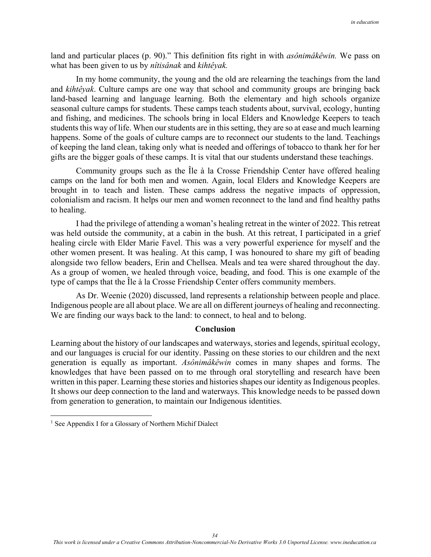land and particular places (p. 90)." This definition fits right in with *asônimâkêwin.* We pass on what has been given to us by *nîtisânak* and *kihtêyak.*

In my home community, the young and the old are relearning the teachings from the land and *kihtêyak*. Culture camps are one way that school and community groups are bringing back land-based learning and language learning. Both the elementary and high schools organize seasonal culture camps for students. These camps teach students about, survival, ecology, hunting and fishing, and medicines. The schools bring in local Elders and Knowledge Keepers to teach students this way of life. When our students are in this setting, they are so at ease and much learning happens. Some of the goals of culture camps are to reconnect our students to the land. Teachings of keeping the land clean, taking only what is needed and offerings of tobacco to thank her for her gifts are the bigger goals of these camps. It is vital that our students understand these teachings.

Community groups such as the Île à la Crosse Friendship Center have offered healing camps on the land for both men and women. Again, local Elders and Knowledge Keepers are brought in to teach and listen. These camps address the negative impacts of oppression, colonialism and racism. It helps our men and women reconnect to the land and find healthy paths to healing.

I had the privilege of attending a woman's healing retreat in the winter of 2022. This retreat was held outside the community, at a cabin in the bush. At this retreat, I participated in a grief healing circle with Elder Marie Favel. This was a very powerful experience for myself and the other women present. It was healing. At this camp, I was honoured to share my gift of beading alongside two fellow beaders, Erin and Chellsea. Meals and tea were shared throughout the day. As a group of women, we healed through voice, beading, and food. This is one example of the type of camps that the Île à la Crosse Friendship Center offers community members.

As Dr. Weenie (2020) discussed, land represents a relationship between people and place. Indigenous people are all about place. We are all on different journeys of healing and reconnecting. We are finding our ways back to the land: to connect, to heal and to belong.

### **Conclusion**

Learning about the history of our landscapes and waterways, stories and legends, spiritual ecology, and our languages is crucial for our identity. Passing on these stories to our children and the next generation is equally as important. *Asônimâkêwin* comes in many shapes and forms. The knowledges that have been passed on to me through oral storytelling and research have been written in this paper. Learning these stories and histories shapes our identity as Indigenous peoples. It shows our deep connection to the land and waterways. This knowledge needs to be passed down from generation to generation, to maintain our Indigenous identities.

<sup>&</sup>lt;sup>1</sup> See Appendix I for a Glossary of Northern Michif Dialect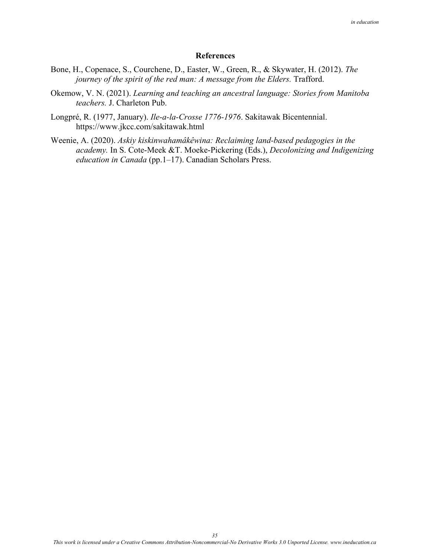### **References**

- Bone, H., Copenace, S., Courchene, D., Easter, W., Green, R., & Skywater, H. (2012). *The journey of the spirit of the red man: A message from the Elders. Trafford.*
- Okemow, V. N. (2021). *Learning and teaching an ancestral language: Stories from Manitoba teachers.* J. Charleton Pub.
- Longpré, R. (1977, January). *Ile-a-la-Crosse 1776-1976*. Sakitawak Bicentennial. <https://www.jkcc.com/sakitawak.html>
- Weenie, A. (2020). *Askiy kiskinwahamâkêwina: Reclaiming land-based pedagogies in the academy.* In S. Cote-Meek &T. Moeke-Pickering (Eds.), *Decolonizing and Indigenizing education in Canada* (pp.1–17). Canadian Scholars Press.